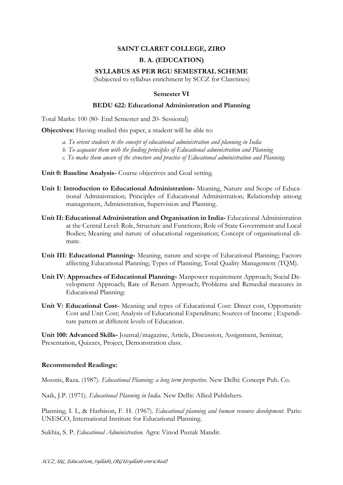## **SAINT CLARET COLLEGE, ZIRO**

# **B. A. (EDUCATION)**

### **SYLLABUS AS PER RGU SEMESTRAL SCHEME**

(Subjected to syllabus enrichment by SCCZ for Claretines)

#### **Semester VI**

#### **BEDU 622: Educational Administration and Planning**

Total Marks: 100 (80- End Semester and 20- Sessional)

**Objectives:** Having studied this paper, a student will be able to:

- *a. To orient students to the concept of educational administration and planning in India*
- *b. To acquaint them with the finding principles of Educational administration and Planning*
- *c. To make them aware of the structure and practice of Educational administration and Planning.*

**Unit 0: Baseline Analysis-** Course objectives and Goal setting.

- **Unit I: Introduction to Educational Administration-** Meaning, Nature and Scope of Educational Administration; Principles of Educational Administration; Relationship among management, Administration, Supervision and Planning.
- **Unit II: Educational Administration and Organisation in India-** Educational Administration at the Central Level: Role, Structure and Functions; Role of State Government and Local Bodies; Meaning and nature of educational organisation; Concept of organisational climate.
- **Unit III: Educational Planning-** Meaning, nature and scope of Educational Planning; Factors affecting Educational Planning; Types of Planning; Total Quality Management (TQM).
- **Unit IV: Approaches of Educational Planning-** Manpower requirement Approach; Social Development Approach; Rate of Return Approach; Problems and Remedial measures in Educational Planning:
- **Unit V: Educational Cost-** Meaning and types of Educational Cost: Direct cost, Opportunity Cost and Unit Cost; Analysis of Educational Expenditure; Sources of Income ; Expenditure pattern at different levels of Education.

**Unit 100: Advanced Skills-** Journal/magazine, Article, Discussion, Assignment, Seminar, Presentation, Quizzes, Project, Demonstration class.

#### **Recommended Readings:**

Moonis, Raza. (1987). *Educational Planning: a long term perspective.* New Delhi: Concept Pub. Co.

Naik, J.P. (1971). *Educational Planning in India.* New Delhi: Allied Publishers.

Planning, I. I., & Harbison, F. H. (1967). *Educational planning and human resource development*. Paris: UNESCO, International Institute for Educational Planning.

Sukhia, S. P. *Educational Administration.* Agra: Vinod Pustak Mandir.